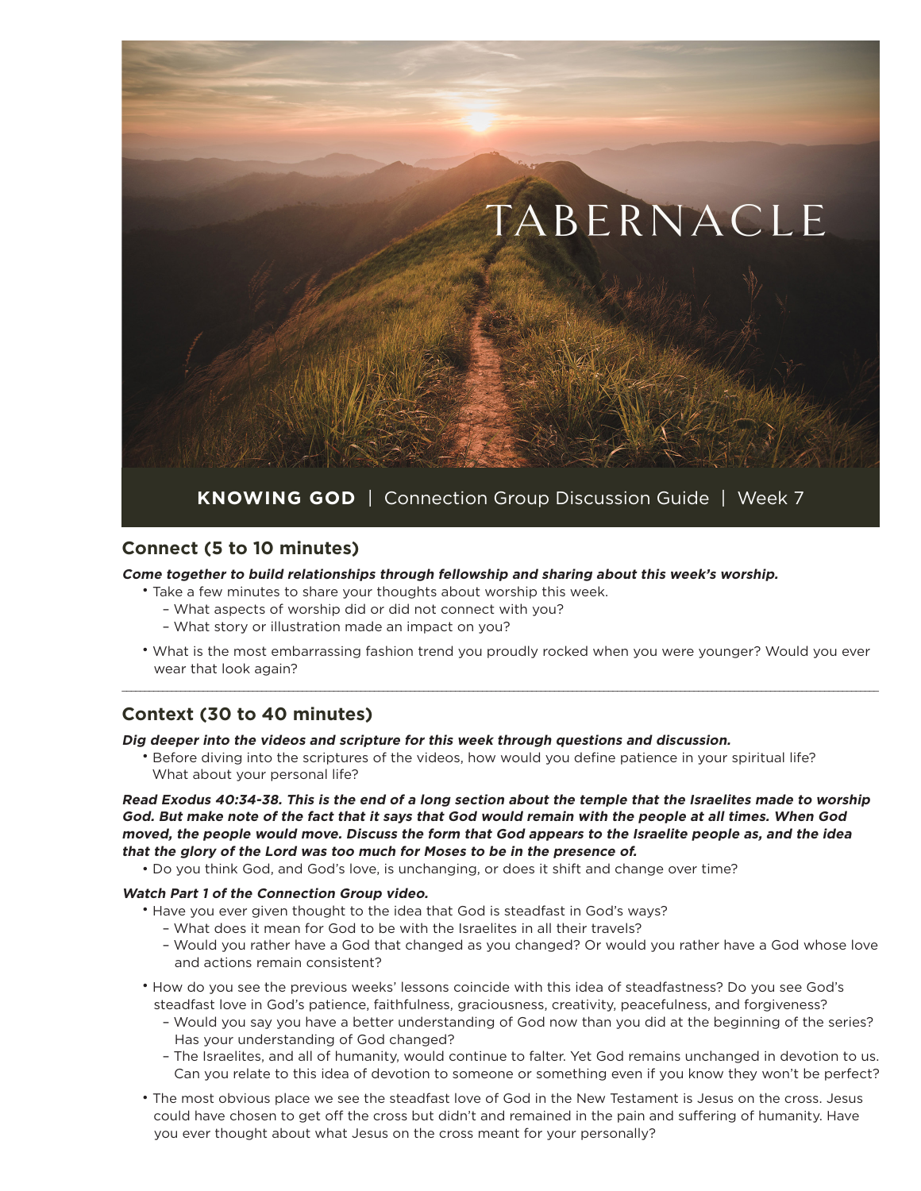

### **Connect (5 to 10 minutes)**

**Come together to build relationships through fellowship and sharing about this week's worship.**

- Take a few minutes to share your thoughts about worship this week.
	- What aspects of worship did or did not connect with you?
	- What story or illustration made an impact on you?
- What is the most embarrassing fashion trend you proudly rocked when you were younger? Would you ever wear that look again?

 $\_$  , and the state of the state of the state of the state of the state of the state of the state of the state of the state of the state of the state of the state of the state of the state of the state of the state of the

### **Context (30 to 40 minutes)**

**Dig deeper into the videos and scripture for this week through questions and discussion.**

• Before diving into the scriptures of the videos, how would you define patience in your spiritual life? What about your personal life?

**Read Exodus 40:34-38. This is the end of a long section about the temple that the Israelites made to worship God. But make note of the fact that it says that God would remain with the people at all times. When God moved, the people would move. Discuss the form that God appears to the Israelite people as, and the idea that the glory of the Lord was too much for Moses to be in the presence of.** 

• Do you think God, and God's love, is unchanging, or does it shift and change over time?

#### **Watch Part 1 of the Connection Group video.**

- Have you ever given thought to the idea that God is steadfast in God's ways?
	- What does it mean for God to be with the Israelites in all their travels?
	- Would you rather have a God that changed as you changed? Or would you rather have a God whose love and actions remain consistent?
- How do you see the previous weeks' lessons coincide with this idea of steadfastness? Do you see God's steadfast love in God's patience, faithfulness, graciousness, creativity, peacefulness, and forgiveness?
	- Would you say you have a better understanding of God now than you did at the beginning of the series? Has your understanding of God changed?
	- The Israelites, and all of humanity, would continue to falter. Yet God remains unchanged in devotion to us. Can you relate to this idea of devotion to someone or something even if you know they won't be perfect?
- The most obvious place we see the steadfast love of God in the New Testament is Jesus on the cross. Jesus could have chosen to get off the cross but didn't and remained in the pain and suffering of humanity. Have you ever thought about what Jesus on the cross meant for your personally?